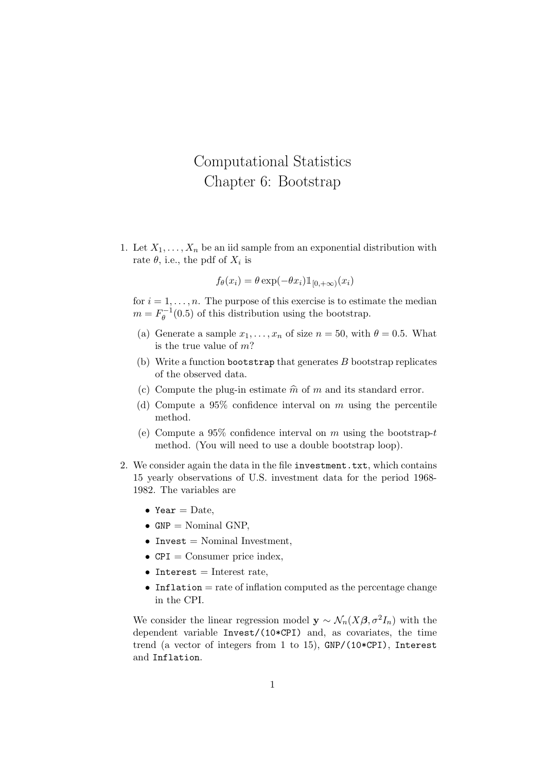## Computational Statistics Chapter 6: Bootstrap

1. Let  $X_1, \ldots, X_n$  be an iid sample from an exponential distribution with rate  $\theta$ , i.e., the pdf of  $X_i$  is

$$
f_{\theta}(x_i) = \theta \exp(-\theta x_i) \mathbb{1}_{[0, +\infty)}(x_i)
$$

for  $i = 1, \ldots, n$ . The purpose of this exercise is to estimate the median  $m = F_{\theta}^{-1}$  $\theta_{\theta}^{-1}(0.5)$  of this distribution using the bootstrap.

- (a) Generate a sample  $x_1, \ldots, x_n$  of size  $n = 50$ , with  $\theta = 0.5$ . What is the true value of m?
- (b) Write a function bootstrap that generates  $B$  bootstrap replicates of the observed data.
- (c) Compute the plug-in estimate  $\hat{m}$  of m and its standard error.
- (d) Compute a  $95\%$  confidence interval on m using the percentile method.
- (e) Compute a 95\% confidence interval on m using the bootstrap-t method. (You will need to use a double bootstrap loop).
- 2. We consider again the data in the file investment.txt, which contains 15 yearly observations of U.S. investment data for the period 1968- 1982. The variables are
	- Year  $=$  Date,
	- $GNP = Nominal GNP$ ,
	- Invest  $=$  Nominal Investment,
	- $CPI = \text{Consumer price index},$
	- Interest  $=$  Interest rate,
	- Inflation  $=$  rate of inflation computed as the percentage change in the CPI.

We consider the linear regression model  $y \sim \mathcal{N}_n(X\beta, \sigma^2 I_n)$  with the dependent variable Invest/(10\*CPI) and, as covariates, the time trend (a vector of integers from 1 to 15), GNP/(10\*CPI), Interest and Inflation.